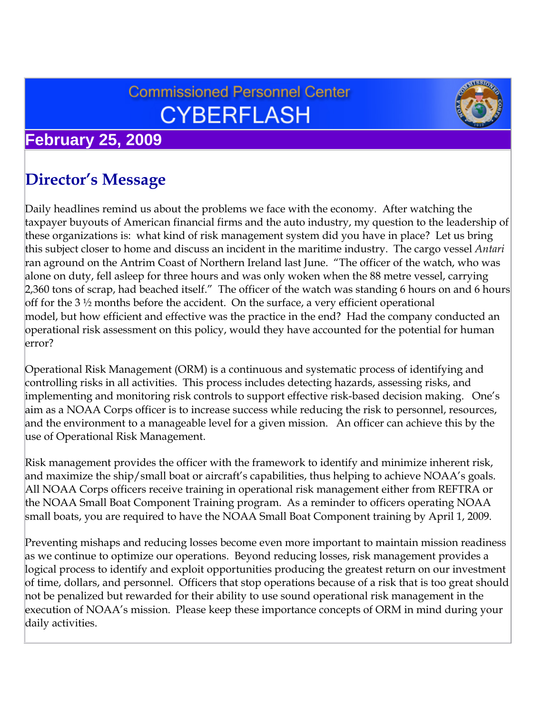# **Commissioned Personnel Center CYBERFLASH**



## **February 25, 2009**

# **Director's Message**

Daily headlines remind us about the problems we face with the economy. After watching the taxpayer buyouts of American financial firms and the auto industry, my question to the leadership of these organizations is: what kind of risk management system did you have in place? Let us bring this subject closer to home and discuss an incident in the maritime industry. The cargo vessel *Antari* ran aground on the Antrim Coast of Northern Ireland last June. "The officer of the watch, who was alone on duty, fell asleep for three hours and was only woken when the 88 metre vessel, carrying 2,360 tons of scrap, had beached itself." The officer of the watch was standing 6 hours on and 6 hours off for the 3 ½ months before the accident. On the surface, a very efficient operational model, but how efficient and effective was the practice in the end? Had the company conducted an operational risk assessment on this policy, would they have accounted for the potential for human error?

Operational Risk Management (ORM) is a continuous and systematic process of identifying and controlling risks in all activities. This process includes detecting hazards, assessing risks, and implementing and monitoring risk controls to support effective risk-based decision making. One's aim as a NOAA Corps officer is to increase success while reducing the risk to personnel, resources, and the environment to a manageable level for a given mission. An officer can achieve this by the use of Operational Risk Management.

Risk management provides the officer with the framework to identify and minimize inherent risk, and maximize the ship/small boat or aircraft's capabilities, thus helping to achieve NOAA's goals. All NOAA Corps officers receive training in operational risk management either from REFTRA or the NOAA Small Boat Component Training program. As a reminder to officers operating NOAA small boats, you are required to have the NOAA Small Boat Component training by April 1, 2009.

Preventing mishaps and reducing losses become even more important to maintain mission readiness as we continue to optimize our operations. Beyond reducing losses, risk management provides a logical process to identify and exploit opportunities producing the greatest return on our investment of time, dollars, and personnel. Officers that stop operations because of a risk that is too great should not be penalized but rewarded for their ability to use sound operational risk management in the execution of NOAA's mission. Please keep these importance concepts of ORM in mind during your daily activities.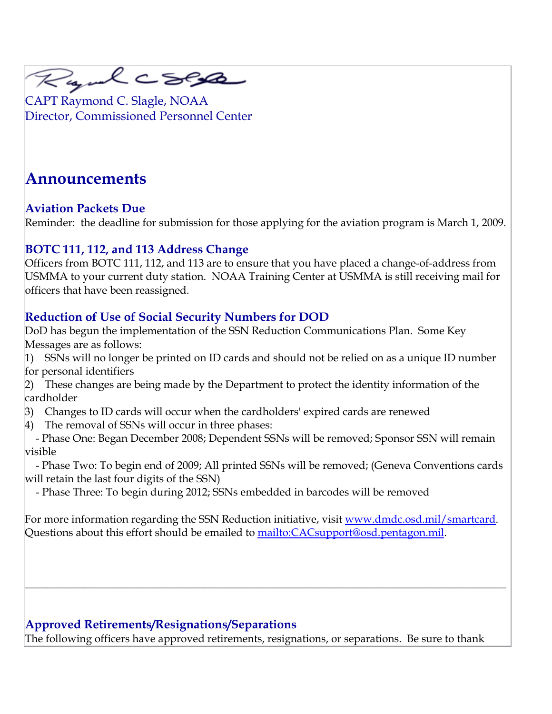

CAPT Raymond C. Slagle, NOAA Director, Commissioned Personnel Center

# **Announcements**

#### **Aviation Packets Due**

Reminder: the deadline for submission for those applying for the aviation program is March 1, 2009.

#### **BOTC 111, 112, and 113 Address Change**

Officers from BOTC 111, 112, and 113 are to ensure that you have placed a change-of-address from USMMA to your current duty station. NOAA Training Center at USMMA is still receiving mail for officers that have been reassigned.

#### **Reduction of Use of Social Security Numbers for DOD**

DoD has begun the implementation of the SSN Reduction Communications Plan. Some Key Messages are as follows:

1) SSNs will no longer be printed on ID cards and should not be relied on as a unique ID number for personal identifiers

2) These changes are being made by the Department to protect the identity information of the cardholder

- 3) Changes to ID cards will occur when the cardholders' expired cards are renewed
- 4) The removal of SSNs will occur in three phases:

 - Phase One: Began December 2008; Dependent SSNs will be removed; Sponsor SSN will remain visible

 - Phase Two: To begin end of 2009; All printed SSNs will be removed; (Geneva Conventions cards will retain the last four digits of the SSN)

- Phase Three: To begin during 2012; SSNs embedded in barcodes will be removed

For more information regarding the SSN Reduction initiative, visit [www.dmdc.osd.mil/smartcard](http://www.dmdc.osd.mil/smartcard). Questions about this effort should be emailed to [mailto:CACsupport@osd.pentagon.mil.](mailto:CACsupport@osd.pentagon.mil)

 $\_$  , and the set of the set of the set of the set of the set of the set of the set of the set of the set of the set of the set of the set of the set of the set of the set of the set of the set of the set of the set of th

#### **Approved Retirements/Resignations/Separations**

The following officers have approved retirements, resignations, or separations. Be sure to thank